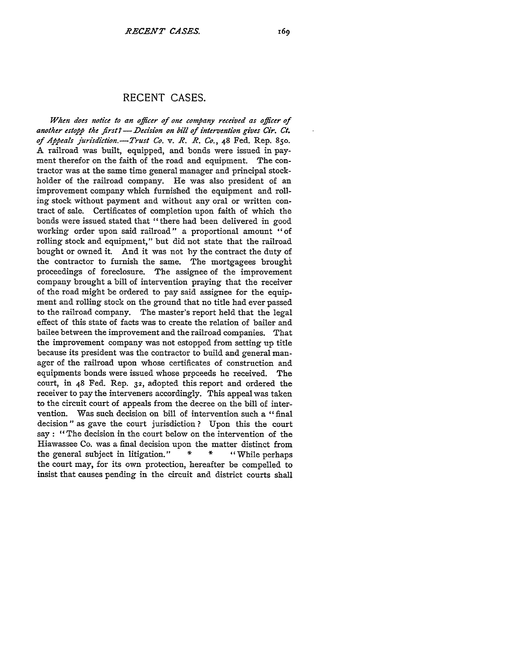## **RECENT CASES.**

*When does notice to an officer of one company received as officer of* another estopp the first? -- Decision on bill of intervention gives Cir. Ct. *of Appeals jurisdiction.--Trust Co. v. R. R. Co.,* 48 Fed. Rep. **850.** A railroad was built, equipped, and bonds were issued in payment therefor on the faith of the road and equipment. The contractor was at the same time general manager and principal stockholder of the railroad company. He was also president of an improvement company which furnished the equipment and rolling stock without payment and without any oral or written contract of sale. Certificates of completion upon faith of which the bonds were issued stated that "there had been delivered in good working order upon said railroad" a proportional amount "of rolling stock and equipment," but did not state that the railroad bought or owned it. And it was not by the contract the duty of the contractor to furnish the same. The mortgagees brought proceedings of foreclosure. The assignee of the improvement company brought a bill of intervention praying that the receiver of the road might be ordered to pay said assignee for the equipment and rolling stock on the ground that no title had ever passed to the railroad company. The master's report held that the legal effect of this state of facts was to create the relation of bailer and bailee between the improvement and the railroad companies. That the improvement company was not estopped from setting up title because its president was the contractor to build and general manager of the railroad upon whose certificates of construction and equipments bonds were issued whose prpceeds he received. The court, in 48 Fed. Rep. **32,** adopted this report and ordered the receiver to pay the interveners accordingly. This appeal was taken to the circuit court of appeals from the decree on the bill of intervention. Was such decision on bill of intervention such a "final decision **"** as gave the court jurisdiction ? Upon this the court say : "The decision in the court below on the intervention of the Hiawassee Co. was a final decision upon the matter distinct from the general subject in litigation." *\* \** "While perhaps the court may, for its own protection, hereafter be compelled to insist that causes pending in the circuit and district courts shall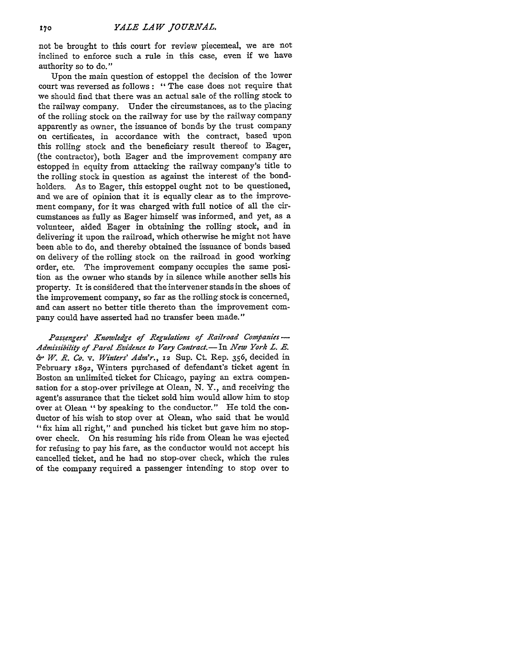not be brought to this court for review piecemeal, we are not inclined to enforce such a rule in this case, even if we have authority so to do."

Upon the main question of estoppel the decision of the lower court was reversed as follows : "The case does not require that we should find that there was an actual sale of the rolling stock to the railway company. Under the circumstances, as to the placing of the rolling stock on the railway for use by the railway company apparently as owner, the issuance of bonds by the trust company on certificates, in accordance with the contract, based upon this rolling stock and the beneficiary result thereof to Eager, (the contractor), both Eager and the improvement company are estopped in equity from attacking the railway company's title to the rolling stock in question as against the interest of the bondholders. As to Eager, this estoppel ought not to be questioned, and we are of opinion that it is equally clear as to the improvement company, for it was charged with full notice of all the circumstances as fully as Eager himself was informed, and yet, as a volunteer, aided Eager in obtaining the rolling stock, and in delivering it upon the railroad, which otherwise he might not have been able to do, and thereby obtained the issuance of bonds based on delivery of the rolling stock on the railroad in good working order, etc. The improvement company occupies the same position as the owner who stands by in silence while another sells his property. It is considered that the intervener stands in the shoes of the improvement company, so far as the rolling stock is concerned, and can assert no better title thereto than the improvement company could have asserted had no transfer been made."

*Passengers' Enowledge of Regulations of Railroad Companies* **-** Admissibility of Parol Evidence to Vary Contract.-In New York L. E. **&,** *W. R. Co. v. Winters' Adm'r.,* **12** Sup. Ct. Rep. 356, decided in February 1892, Winters purchased of defendant's ticket agent in Boston an unlimited ticket for Chicago, paying an extra compensation for a stop-over privilege at Olean, N. Y., and receiving the agent's assurance that the ticket sold him would allow him to stop over at Olean "by speaking to the conductor." He told the conductor of his wish to stop over at Olean, who said that he would "fix him all right," and punched his ticket but gave him no stopover check. On his resuming his ride from Olean he was ejected for refusing to pay his fare, as the conductor would not accept his cancelled ticket, and he had no stop-over check, which the rules of the company required a passenger intending to stop over to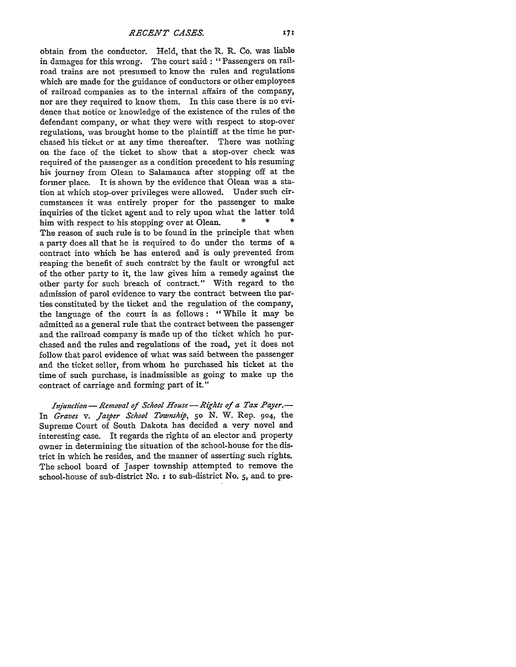obtain from the conductor. Held, that the R. R. Co. was liable in damages for this wrong. The court said: "Passengers on railroad trains are not presumed to know the rules and regulations which are made for the guidance of conductors or other employees of railroad companies as to the internal affairs of the company, nor are they required to know them. In this case there is no evidence that notice or knowledge of the existence of the rules of the defendant company, or what they were with respect to stop-over regulations, was brought home to the plaintiff at the time he purchased his ticket or at any time thereafter. There was nothing on the face of the ticket to show that a stop-over check was required of the passenger as a condition precedent to his resuming his journey from Olean to Salamanca after stopping off at the former place. It is shown by the evidence that Olean was a station at which stop-over privileges were allowed. Under such circumstances it was entirely proper for the passenger to make inquiries of the ticket agent and to rely upon what the latter told him with respect to his stopping over at Olean. **\* \*** The reason of such rule is to be found in the principle that when a party does all that be is required to do under the terms of a contract into which he has entered and is only prevented from reaping the benefit of such contract by the fault or wrongful act of the other party to it, the law gives him a remedy against the other party for such breach of contract." With regard to the admission of parol evidence to vary the contract between the parties constituted by the ticket and the regulation of the company, the language of the court is as follows: "While it may be admitted as a general rule that the contract between the passenger and the railroad company is made up of the ticket which he purchased and the rules and regulations of the road, yet it does not follow that parol evidence of what was said between the passenger and the ticket seller, from whom he purchased his ticket at the time of such purchase, is inadmissible as going to make up the contract of carriage and forming part of it."

*Injunction* -Remozal *of School House* -\_Rights *of a Tax Payer.-* In *Graves v. Jasper School Township*, 50 N. W. Rep. 904, the Supreme Court of South Dakota has decided a very novel and interesting case. It regards the rights of an elector and property owner in determining the situation of the school-house for the district in which he resides, and the manner of asserting such rights. The school board of Jasper township attempted to remove the school-house of sub-district No. r to sub-district No. 5, and to pre-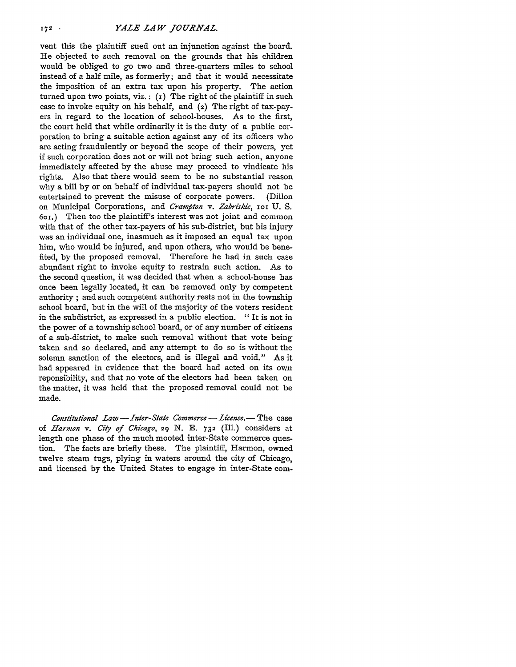vent this the plaintiff sued out an injunction against the board. He objected to such removal on the grounds that his children would be obliged to go two and three-quarters miles to school instead of a half mile, as formerly; and that it would necessitate the imposition of an extra tax upon his property. The action turned upon two points, viz. : **(i)** The right of the plaintiff in such case to invoke equity on his behalf, and (2) The right of tax-payers in regard to the location of school-houses. As to the first, the court held that while ordinarily it is the duty of a public corporation to bring a suitable action against any of its officers who are acting fraudulently or beyond the scope of their powers, yet if such corporation does not or will not bring such action, anyone immediately affected by the abuse may proceed to vindicate his rights. Also that there would seem to be no substantial reason why a bill by or on behalf of individual tax-payers should not be entertained to prevent the misuse of corporate powers. (Dillon on Municipal Corporations, and *Crampton v. Zabriskie,* ioi U. S. 6oi.) Then too the plaintiff's interest was not joint and common with that of the other tax-payers of his sub-district, but his injury was an individual one, inasmuch as it imposed an equal tax upon him, who would be injured, and upon others, who would be benefited, by the proposed removal. Therefore he had in such case abqndant right to invoke equity to restrain such action. As to the second question, it was decided that when a school-house has once been legally located, it can be removed only by competent authority ; and such competent authority rests not in the township school board, but in the will of the majority of the voters resident in the subdistrict, as expressed in a public election. "It is not in the power of a township school board, or of any number of citizens of a sub-district, to make such removal without that vote being taken and so declared, and any attempt to do so is without the solemn sanction of the electors, and is illegal and void." As it had appeared in evidence that the board had acted on its own reponsibility, and that no vote of the electors had been taken on the matter, it was held that the proposed removal could not be made.

*Constitutional Law- Inter-State Commerce* - *License.-* The case *of Harmon v. City of Chicago,* 29 N. **E. 732** (Ill.) considers at length one phase of the much mooted inter-State commerce question. The facts are briefly these. The plaintiff, Harmon, owned twelve steam tugs, plying in waters around the city of Chicago, and licensed by the United States to engage in inter-State com-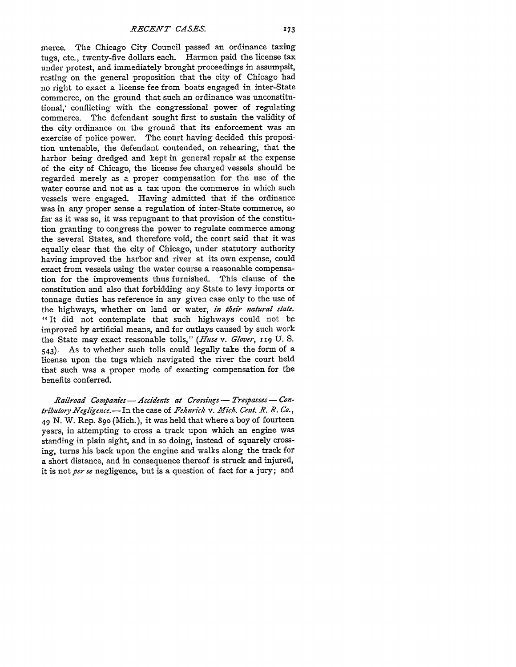merce. The Chicago City Council passed an ordinance taxing tugs, etc., twenty-five dollars each. Harmon paid the license tax under protest, and immediately brought proceedings in assumpsit, resting on the general proposition that the city of Chicago had no right to exact a license fee from boats engaged in inter-State commerce, on the ground that such an ordinance was unconstitutional,' conflicting with the congressional power of regulating commerce. The defendant sought first to sustain the validity of the city ordinance on the ground that its enforcement was an exercise of police power. The court having decided this proposition untenable, the defendant contended, on rehearing, that the harbor being dredged and kept in general repair at the expense of the city of Chicago, the license fee charged vessels should be regarded merely as a proper compensation for the use of the water course and not as a tax upon the commerce in which such vessels were engaged. Having admitted that if the ordinance was in any proper sense a regulation of inter-State commerce, so far as it was so, it was repugnant to that provision of the constitution granting to congress the power to regulate commerce among the several States, and therefore void, the court said that it was equally clear that the city of Chicago, under statutory authority having improved the harbor and river at its own expense, could exact from vessels using the water course a reasonable compensation for the improvements thus furnished. This clause of the constitution and also that forbidding any State to levy imports or tonnage duties has reference in any given case only to the use of the highways, whether on land or water, *in their natural state.* " It did not contemplate that such highways could not be improved by artificial means, and for outlays caused by such work the State may exact reasonable tolls," *(Huse v. Glover,* **119** U. S. 543). As to whether such tolls could legally take the form of a license upon the tugs which navigated the river the court held that such was a proper mode of exacting compensation for the benefits conferred.

*Railroad Companies- Accidents at Crossings- Trespasses- Contributory Negligence.-* In the case of *Aehnrich v. Mich. Cent. R. B. Co.,* **49** N. *W.* Rep. **890** (Mich.), it was held that where aboy of fourteen years, in attempting to cross a track upon which an engine was standing in plain sight, and in so doing, instead of squarely crossing, turns his back upon the engine and walks along the track for a short distance, and in consequence thereof is struck and injured, it is not per se negligence, but is a question of fact for a jury; and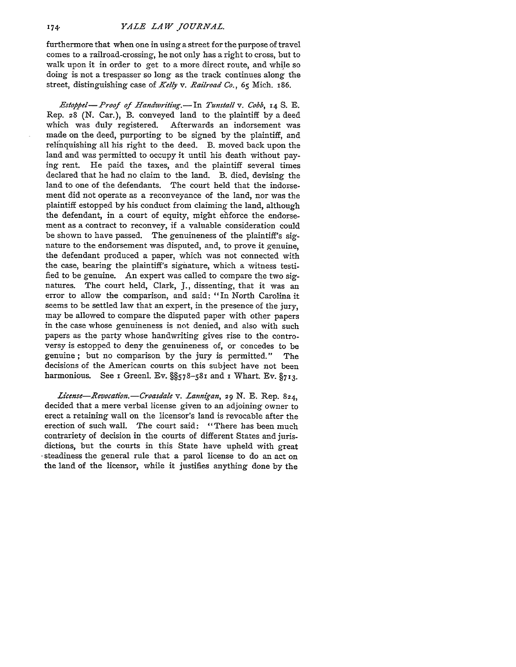furthermore that when one in using a street for the purpose of travel comes to a railroad-crossing, he not only has a right to cross, but to walk upon it in order to get to a more direct route, and while so doing is not a trespasser so long as the track continues along the street, distinguishing case of *Kelly v. Railroad Co.*, 65 Mich. 186.

*Estoppel-Proof of Handwriting.*- In Tunstall v. Cobb, 14 S. E. Rep. **28** (N. Car.), B. conveyed land to the plaintiff by a deed which was duly registered. Afterwards an indorsement was made on the deed, purporting to be signed by the plaintiff, and relinquishing all his right to the deed. B. moved back upon the land and was permitted to occupy it until his death without paying rent. He paid the taxes, and the plaintiff several times declared that he had no claim to the land. B. died, devising the land to one of the defendants. The court held that the indorsement did not operate as a reconveyance of the land, nor was the plaintiff estopped by his conduct from claiming the land, although the defendant, in a court of equity, might enforce the endorsement as a contract to reconvey, if a valuable consideration could be shown to have passed. The genuineness of the plaintiff's signature to the endorsement was disputed, and, to prove it genuine, the defendant produced a paper, which was not connected with the case, bearing the plaintiff's signature, which a witness testified to be genuine. An expert was called to compare the two signatures. The court held, Clark, J., dissenting, that it was an error to allow the comparison, and said: "In North Carolina it seems to be settled law that an expert, in the presence of the jury, may be allowed to compare the disputed paper with other papers in the case whose genuineness is not denied, and also with such papers as the party whose handwriting gives rise to the controversy is estopped to deny the genuineness of, or concedes to be genuine; but no comparison by the jury is permitted." The decisions of the American courts on this subject have not been harmonious. See i Greenl. Ev. §§578-581 and i Whart. Ev. **§713.**

*Zicense-Revocation.-Croasdale v. Lannigan,* **29** N. E. Rep. 824, decided that a mere verbal license given to an adjoining owner to erect a retaining wall on the licensor's land is revocable after the erection of such wall. The court said: "There has been much contrariety of decision in the courts of different States and jurisdictions, but the courts in this State have upheld with great steadiness the general rule that a parol license to do an act on the land of the licensor, while it justifies anything done by the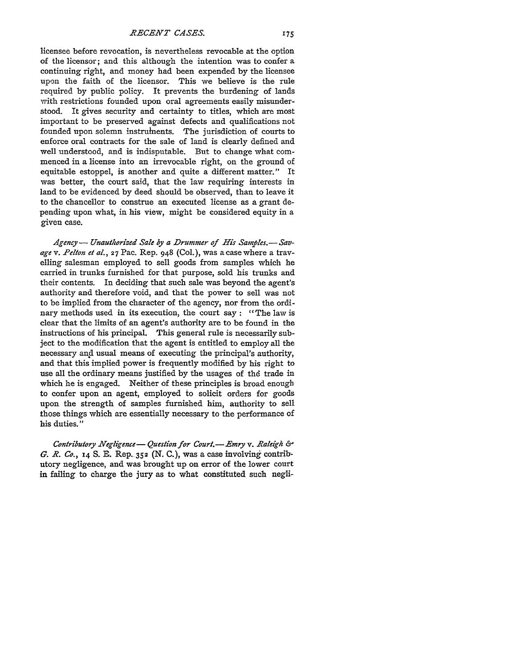*RECENAT CASES.*

licensee before revocation, is nevertheless revocable at the option of the licensor; and this although the intention was to confer a continuing right, and money had been expended by the licensee upon the faith of the licensor. This we believe is the rule required by public policy. It prevents the burdening of lands with restrictions founded upon oral agreements easily misunderstood. It gives security and certainty to titles, which are most important to be preserved against defects and qualifications not founded upon solemn instruhaents. The jurisdiction of courts to enforce oral contracts for the sale of land is clearly defined and well understood, and is indisputable. But to change what commenced in a license into an irrevocable right, on the ground of equitable estoppel, is another and quite a different matter." It was better, the court said, that the law requiring interests in land to be evidenced by deed should be observed, than to leave it to the chancellor to construe an executed license as a grant depending upon what, in his view, might be considered equity in a given case.

Agency - Unauthorized Sale by a Drummer of His Samples. - Sav*age v. Pelton et* al., **<sup>27</sup>**Pac. Rep. 948 (Col.), was a case where a travelling salesman employed to sell goods from samples which he carried in trunks furnished for that purpose, sold his trunks and their contents. In deciding that such sale was beyond the agent's authority and therefore void, and that the power to sell was not to be implied from the character of the agency, nor from the ordinary methods used in its execution, the court say: "The law is clear that the limits of an agent's authority are to be found in the instructions of his principal. This general rule is necessarily subject to the modification that the agent is entitled to employ all the necessary and usual means of executing the principal's authority, and that this implied power is frequently modified by his right to use all the ordinary means justified by the usages of the trade in which he is engaged. Neither of these principles is broad enough to confer upon an agent, employed to solicit orders for goods upon the strength of samples furnished him, authority to sell those things which are essentially necessary to the performance of his duties."

*Contributory Negligence- Question for Court.- Emry v. Raleigh & G. R. Co.,* 14 S. **E.** Rep. 352 (N. C.), was a case involving contributory negligence, and was brought up on error of the lower court in failing to charge the jury as to what constituted such negli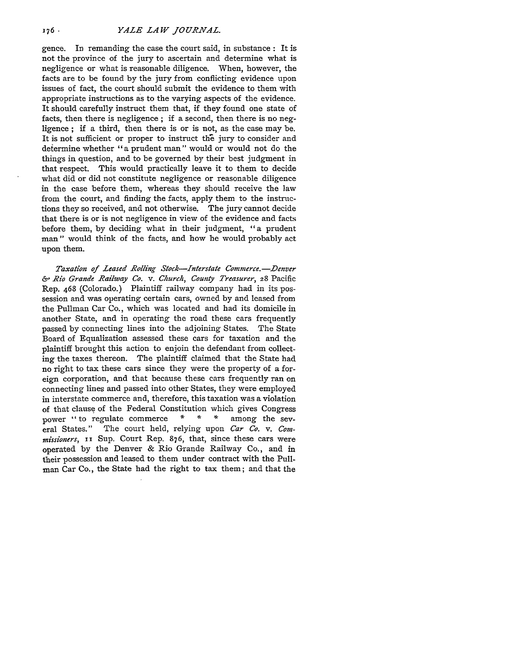gence. In remanding the case the court said, in substance **:** It is not the province of the jury to ascertain and determine what is negligence or what is reasonable diligence. When, however, the facts are to be found by the jury from conflicting evidence upon issues of fact, the court should submit the evidence to them with appropriate instructions as to the varying aspects of the evidence. It should carefully instruct them that, if they found one state of facts, then there is negligence ; if a second, then there is no negligence; if a third, then there is or is not, as the case may be. It is not sufficient or proper to instruct the jury to consider and determine whether "a prudent man" would or would not do the things in question, and to be governed by their best judgment in that respect. This would practically leave it to them to decide what did or did not constitute negligence or reasonable diligence in the case before them, whereas they should receive the law from the court, and finding the facts, apply them to the instructions they so received, and not otherwise. The jury cannot decide that there is or is not negligence in view of the evidence and facts before them, by deciding what in their judgment, "a prudent man" would think of the facts, and how he would probably act upon them.

*Taxation of Leased Rolling Stock-Interstate Commerce. -Denver Rio Grande Railway Co. v. Church, County Treasurer,* **28** Pacific Rep. 468 (Colorado.) Plaintiff railway company had in its possession and was operating certain cars, owned by and leased from the Pullman Car Co., which was located and had its domicile in another State, and in operating the road these cars frequently passed by connecting lines into the adjoining States. The State Board of Equalization assessed these cars for taxation and the plaintiff brought this action to enjoin the defendant from collecting the taxes thereon. The plaintiff claimed that the State had no right to tax these cars since they were the property of a foreign corporation, and that because these cars frequently ran on connecting lines and passed into other States, they were employed in interstate commerce and, therefore, this taxation was a violation of that clause of the Federal Constitution which gives Congress power " to regulate commerce \* \* \* among the sev-<br>eral States." The court held, relying upon *Car Co.* v. *Com*-The court held, relying upon *Car Co. v. Commissioners,* ii Sup. Court Rep. 876, that, since these cars were operated by the Denver & Rio Grande Railway Co., and in their possession and leased to them under contract with the Pullman Car Co., the State had the right to tax them; and that the

**176 .**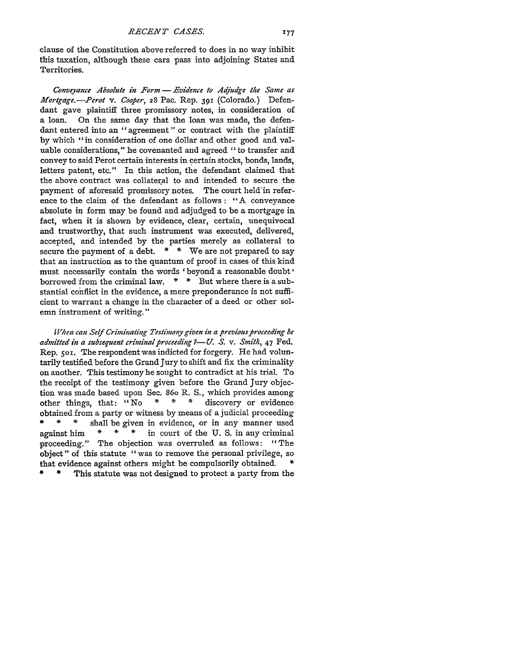clause of the Constitution above referred to does in no way inhibit this taxation, although these cars pass into adjoining States and Territories.

*Conveyance Absolute in Form* **-** *Evidence to Adjudge the Same as kortgage. -Perot v. Cooper,* **28** Pac. Rep. 391 (Colorado.) Defendant gave plaintiff three promissory notes, in consideration of a loan. On the same day that the loan was made, the defendant entered into an "agreement" or contract with the plaintiff by which "in consideration of one dollar and other good and valuable considerations," he covenanted and agreed "to transfer and convey to said Perot certain interests in certain stocks, bonds, lands, letters patent, etc." In this action, the defendant claimed that the above contract was collateral to and intended to secure the payment of aforesaid promissory notes. The court held'in reference to the claim of the defendant as follows: "A conveyance absolute in form may be found and adjudged to be a mortgage in fact, when it is shown by evidence, clear, certain, unequivocal and trustworthy, that such instrument was executed, delivered, accepted, and intended by the parties merely as collateral to secure the payment of a debt. **\* \*** We are not prepared to say that an instruction as to the quantum of proof in cases of this kind must necessarily contain the words *'* beyond a reasonable doubt' borrowed from the criminal law. **\* \*** But where there is a substantial conflict in the evidence, a mere preponderance is not sufficient to warrant a change in the character of a deed or other solemn instrument of writing."

*When can Self Criminating Testimony given in a previous proceeding be admitted in a subsequent criminalproceeding* **?-U.** *S. v. Smitl,* 47 Fed. Rep. 501. The respondent was indicted for forgery. He had voluntarily testified before the Grand Jury to shift and fix the criminality on another. This testimony he sought to contradict at his trial. To the receipt of the testimony given before the Grand Jury objection was made based upon Sec. 86o R. S., which provides among other things, that: "No **\* \* \*** discovery or evidence obtained from a party or witness by means of a judicial proceeding **\* \* \*** shall be given in evidence, or in any manner used against him **\* \* \*** in court of the U. S. in any criminal proceeding." The objection was overruled as follows: "The object" of this statute "was to remove the personal privilege, so that evidence against others might be compulsorily obtained. **\* • \*** This statute was not designed to protect a party from the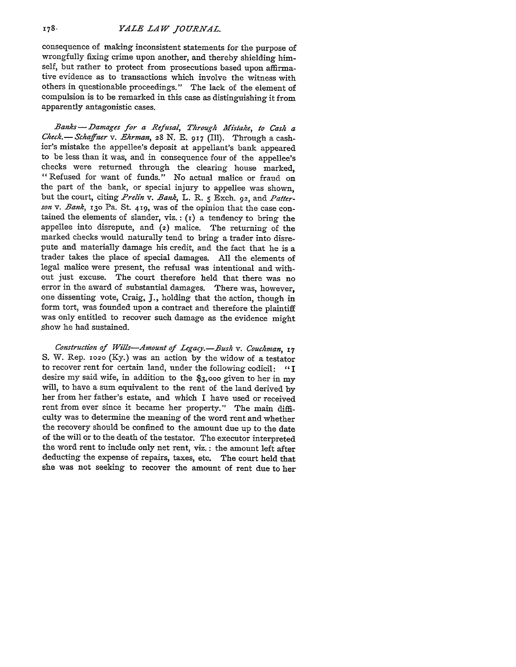consequence of making inconsistent statements for the purpose of wrongfully fixing crime upon another, and thereby shielding himself, but rather to protect from prosecutions based upon affirmative evidence as to transactions which involve the witness with others in questionable proceedings." The lack of the element of compulsion is to be remarked in this case as distinguishing it from apparently antagonistic cases.

*Banks-Damages for a Refusal, Through Mistake, to Cash a Check.- Schaffner v. Ehrman,* **28** N. E. **917** (Ill). Through a cashier's mistake the appellee's deposit at appellant's bank appeared to be less than it was, and in consequence four of the appellee's checks were returned through the clearing house marked, "Refused for want of funds." No actual malice or fraud on the part of the bank, or special injury to appellee was shown, but the court, citing *Prelin v.* Bank, L. R. **5** Exch. **92,** and Patter*son v.* Bank, **130** Pa. St. 419, was of the opinion that the case contained the elements of slander,  $viz. : (1)$  a tendency to bring the appellee into disrepute, and (2) malice. The returning of the marked checks would naturally tend to bring a trader into disrepute and materially damage his credit, and the fact that he is a trader takes the place of special damages. All the elements of legal malice were present, the refusal was intentional and without just excuse. The court therefore held that there was no error in the award of substantial damages. There was, however, one dissenting vote, Craig, **J.,** holding that the action, though in form tort, was founded upon a contract and therefore the plaintiff was only entitled to recover such damage as the evidence might show he had sustained.

*Construction of Wills-Amount of Legacy. -Bush v. Couchman,* **<sup>17</sup>** S. W. Rep. **1020** (Ky.) was an action by the widow of a testator to recover rent for certain land, under the following codicil: "I desire my said wife, in addition to the **\$3,000** given to her in my will, to have a sum equivalent to the rent of the land derived by her from her father's estate, and which I have used or received rent from ever since it became her property." The main difficulty was to determine the meaning of the word rent and whether the recovery should be confined to the amount due up to the date of the will or to the death of the testator. The executor interpreted the word rent to include only net rent, viz.: the amount left after deducting the expense of repairs, taxes, etc. The court held that she was not seeking to recover the amount of rent due to her